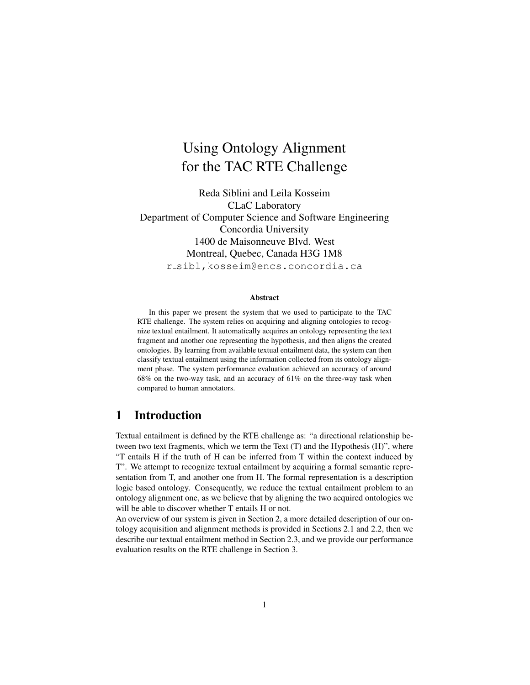# Using Ontology Alignment for the TAC RTE Challenge

Reda Siblini and Leila Kosseim CLaC Laboratory Department of Computer Science and Software Engineering Concordia University 1400 de Maisonneuve Blvd. West Montreal, Quebec, Canada H3G 1M8 r sibl,kosseim@encs.concordia.ca

#### Abstract

In this paper we present the system that we used to participate to the TAC RTE challenge. The system relies on acquiring and aligning ontologies to recognize textual entailment. It automatically acquires an ontology representing the text fragment and another one representing the hypothesis, and then aligns the created ontologies. By learning from available textual entailment data, the system can then classify textual entailment using the information collected from its ontology alignment phase. The system performance evaluation achieved an accuracy of around 68% on the two-way task, and an accuracy of 61% on the three-way task when compared to human annotators.

## 1 Introduction

Textual entailment is defined by the RTE challenge as: "a directional relationship between two text fragments, which we term the Text (T) and the Hypothesis (H)", where "T entails H if the truth of H can be inferred from T within the context induced by T". We attempt to recognize textual entailment by acquiring a formal semantic representation from T, and another one from H. The formal representation is a description logic based ontology. Consequently, we reduce the textual entailment problem to an ontology alignment one, as we believe that by aligning the two acquired ontologies we will be able to discover whether T entails H or not.

An overview of our system is given in Section 2, a more detailed description of our ontology acquisition and alignment methods is provided in Sections 2.1 and 2.2, then we describe our textual entailment method in Section 2.3, and we provide our performance evaluation results on the RTE challenge in Section 3.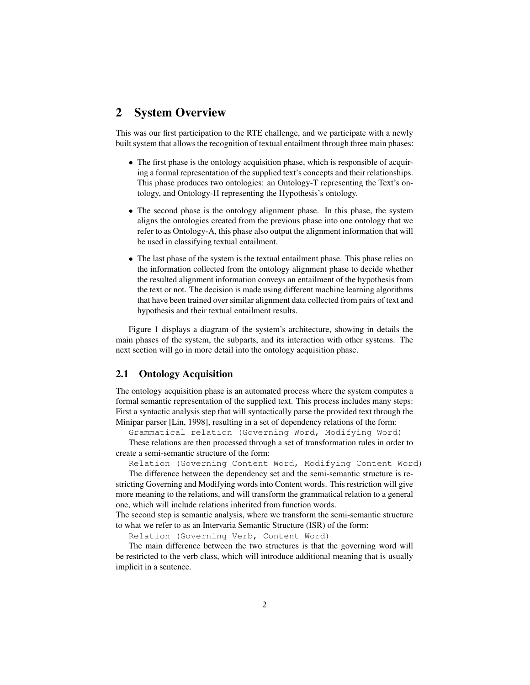### 2 System Overview

This was our first participation to the RTE challenge, and we participate with a newly built system that allows the recognition of textual entailment through three main phases:

- The first phase is the ontology acquisition phase, which is responsible of acquiring a formal representation of the supplied text's concepts and their relationships. This phase produces two ontologies: an Ontology-T representing the Text's ontology, and Ontology-H representing the Hypothesis's ontology.
- The second phase is the ontology alignment phase. In this phase, the system aligns the ontologies created from the previous phase into one ontology that we refer to as Ontology-A, this phase also output the alignment information that will be used in classifying textual entailment.
- The last phase of the system is the textual entailment phase. This phase relies on the information collected from the ontology alignment phase to decide whether the resulted alignment information conveys an entailment of the hypothesis from the text or not. The decision is made using different machine learning algorithms that have been trained over similar alignment data collected from pairs of text and hypothesis and their textual entailment results.

Figure 1 displays a diagram of the system's architecture, showing in details the main phases of the system, the subparts, and its interaction with other systems. The next section will go in more detail into the ontology acquisition phase.

### 2.1 Ontology Acquisition

The ontology acquisition phase is an automated process where the system computes a formal semantic representation of the supplied text. This process includes many steps: First a syntactic analysis step that will syntactically parse the provided text through the Minipar parser [Lin, 1998], resulting in a set of dependency relations of the form:

Grammatical relation (Governing Word, Modifying Word)

These relations are then processed through a set of transformation rules in order to create a semi-semantic structure of the form:

Relation (Governing Content Word, Modifying Content Word)

The difference between the dependency set and the semi-semantic structure is restricting Governing and Modifying words into Content words. This restriction will give more meaning to the relations, and will transform the grammatical relation to a general one, which will include relations inherited from function words.

The second step is semantic analysis, where we transform the semi-semantic structure to what we refer to as an Intervaria Semantic Structure (ISR) of the form:

Relation (Governing Verb, Content Word)

The main difference between the two structures is that the governing word will be restricted to the verb class, which will introduce additional meaning that is usually implicit in a sentence.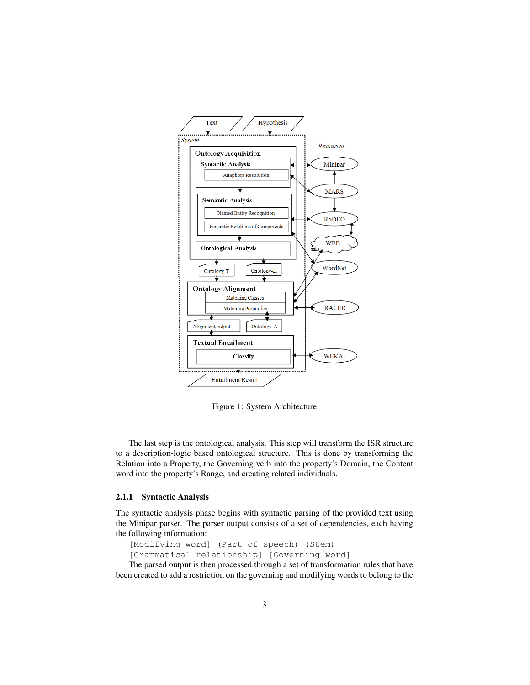

Figure 1: System Architecture

The last step is the ontological analysis. This step will transform the ISR structure to a description-logic based ontological structure. This is done by transforming the Relation into a Property, the Governing verb into the property's Domain, the Content word into the property's Range, and creating related individuals.

#### 2.1.1 Syntactic Analysis

The syntactic analysis phase begins with syntactic parsing of the provided text using the Minipar parser. The parser output consists of a set of dependencies, each having the following information:

```
[Modifying word] (Part of speech) (Stem)
[Grammatical relationship] [Governing word]
```
The parsed output is then processed through a set of transformation rules that have been created to add a restriction on the governing and modifying words to belong to the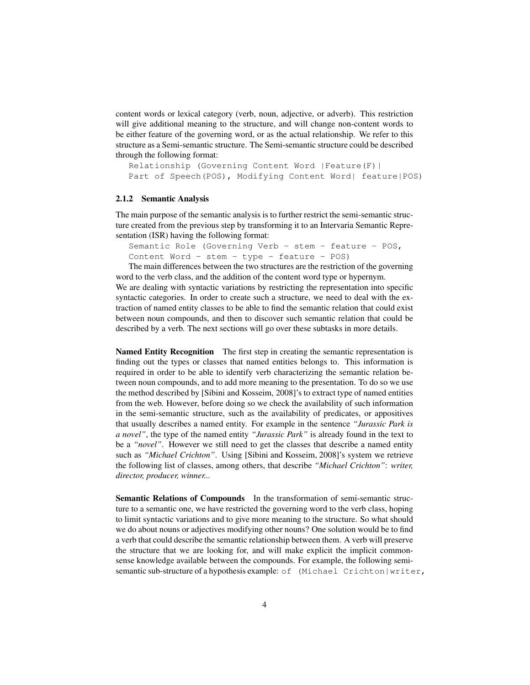content words or lexical category (verb, noun, adjective, or adverb). This restriction will give additional meaning to the structure, and will change non-content words to be either feature of the governing word, or as the actual relationship. We refer to this structure as a Semi-semantic structure. The Semi-semantic structure could be described through the following format:

```
Relationship (Governing Content Word |Feature(F)|
Part of Speech(POS), Modifying Content Word| feature|POS)
```
#### 2.1.2 Semantic Analysis

The main purpose of the semantic analysis is to further restrict the semi-semantic structure created from the previous step by transforming it to an Intervaria Semantic Representation (ISR) having the following format:

Semantic Role (Governing Verb - stem - feature - POS, Content Word - stem - type - feature - POS)

The main differences between the two structures are the restriction of the governing word to the verb class, and the addition of the content word type or hypernym.

We are dealing with syntactic variations by restricting the representation into specific syntactic categories. In order to create such a structure, we need to deal with the extraction of named entity classes to be able to find the semantic relation that could exist between noun compounds, and then to discover such semantic relation that could be described by a verb. The next sections will go over these subtasks in more details.

Named Entity Recognition The first step in creating the semantic representation is finding out the types or classes that named entities belongs to. This information is required in order to be able to identify verb characterizing the semantic relation between noun compounds, and to add more meaning to the presentation. To do so we use the method described by [Sibini and Kosseim, 2008]'s to extract type of named entities from the web. However, before doing so we check the availability of such information in the semi-semantic structure, such as the availability of predicates, or appositives that usually describes a named entity. For example in the sentence *"Jurassic Park is a novel"*, the type of the named entity *"Jurassic Park"* is already found in the text to be a *"novel"*. However we still need to get the classes that describe a named entity such as *"Michael Crichton"*. Using [Sibini and Kosseim, 2008]'s system we retrieve the following list of classes, among others, that describe *"Michael Crichton"*: *writer, director, producer, winner...*

Semantic Relations of Compounds In the transformation of semi-semantic structure to a semantic one, we have restricted the governing word to the verb class, hoping to limit syntactic variations and to give more meaning to the structure. So what should we do about nouns or adjectives modifying other nouns? One solution would be to find a verb that could describe the semantic relationship between them. A verb will preserve the structure that we are looking for, and will make explicit the implicit commonsense knowledge available between the compounds. For example, the following semisemantic sub-structure of a hypothesis example: of (Michael Crichton|writer,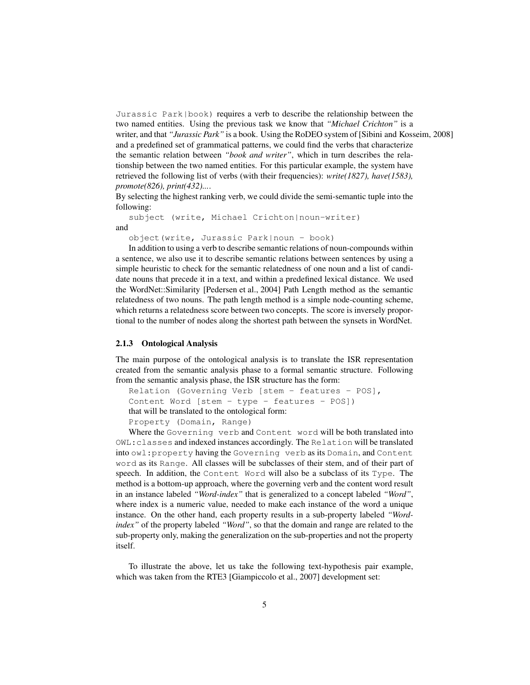Jurassic Park|book) requires a verb to describe the relationship between the two named entities. Using the previous task we know that *"Michael Crichton"* is a writer, and that *"Jurassic Park"* is a book. Using the RoDEO system of [Sibini and Kosseim, 2008] and a predefined set of grammatical patterns, we could find the verbs that characterize the semantic relation between *"book and writer"*, which in turn describes the relationship between the two named entities. For this particular example, the system have retrieved the following list of verbs (with their frequencies): *write(1827), have(1583), promote(826), print(432)...*.

By selecting the highest ranking verb, we could divide the semi-semantic tuple into the following:

subject (write, Michael Crichton|noun-writer) and

object(write, Jurassic Park|noun - book)

In addition to using a verb to describe semantic relations of noun-compounds within a sentence, we also use it to describe semantic relations between sentences by using a simple heuristic to check for the semantic relatedness of one noun and a list of candidate nouns that precede it in a text, and within a predefined lexical distance. We used the WordNet::Similarity [Pedersen et al., 2004] Path Length method as the semantic relatedness of two nouns. The path length method is a simple node-counting scheme, which returns a relatedness score between two concepts. The score is inversely proportional to the number of nodes along the shortest path between the synsets in WordNet.

#### 2.1.3 Ontological Analysis

The main purpose of the ontological analysis is to translate the ISR representation created from the semantic analysis phase to a formal semantic structure. Following from the semantic analysis phase, the ISR structure has the form:

```
Relation (Governing Verb [stem - features - POS],
Content Word [stem - type - features - POS])
that will be translated to the ontological form:
Property (Domain, Range)
```
Where the Governing verb and Content word will be both translated into OWL:classes and indexed instances accordingly. The Relation will be translated into owl:property having the Governing verb as its Domain, and Content word as its Range. All classes will be subclasses of their stem, and of their part of speech. In addition, the Content Word will also be a subclass of its Type. The method is a bottom-up approach, where the governing verb and the content word result in an instance labeled *"Word-index"* that is generalized to a concept labeled *"Word"*, where index is a numeric value, needed to make each instance of the word a unique instance. On the other hand, each property results in a sub-property labeled *"Wordindex"* of the property labeled *"Word"*, so that the domain and range are related to the sub-property only, making the generalization on the sub-properties and not the property itself.

To illustrate the above, let us take the following text-hypothesis pair example, which was taken from the RTE3 [Giampiccolo et al., 2007] development set: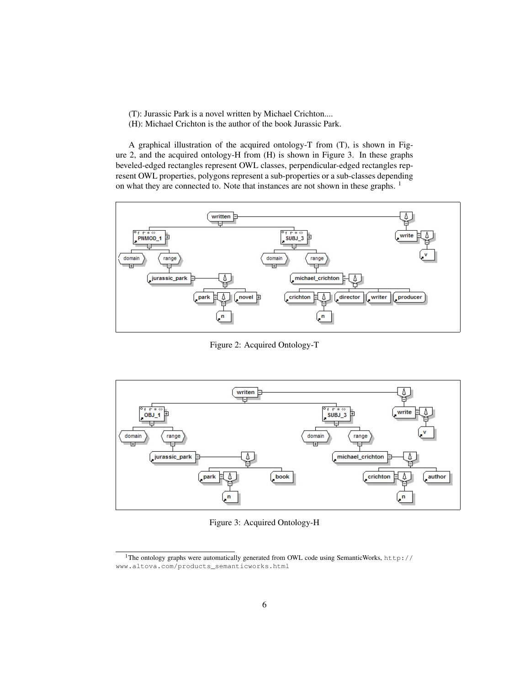- (T): Jurassic Park is a novel written by Michael Crichton....
- (H): Michael Crichton is the author of the book Jurassic Park.

A graphical illustration of the acquired ontology-T from (T), is shown in Figure 2, and the acquired ontology-H from (H) is shown in Figure 3. In these graphs beveled-edged rectangles represent OWL classes, perpendicular-edged rectangles represent OWL properties, polygons represent a sub-properties or a sub-classes depending on what they are connected to. Note that instances are not shown in these graphs. <sup>1</sup>



Figure 2: Acquired Ontology-T



Figure 3: Acquired Ontology-H

<sup>&</sup>lt;sup>1</sup>The ontology graphs were automatically generated from OWL code using SemanticWorks, http:// www.altova.com/products\_semanticworks.html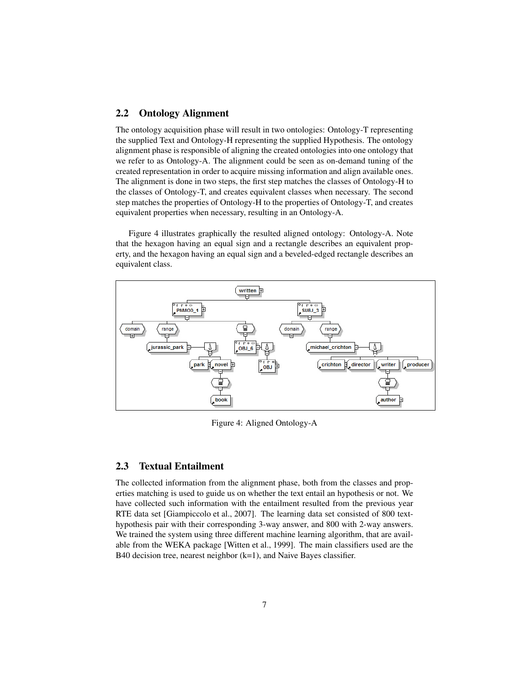### 2.2 Ontology Alignment

The ontology acquisition phase will result in two ontologies: Ontology-T representing the supplied Text and Ontology-H representing the supplied Hypothesis. The ontology alignment phase is responsible of aligning the created ontologies into one ontology that we refer to as Ontology-A. The alignment could be seen as on-demand tuning of the created representation in order to acquire missing information and align available ones. The alignment is done in two steps, the first step matches the classes of Ontology-H to the classes of Ontology-T, and creates equivalent classes when necessary. The second step matches the properties of Ontology-H to the properties of Ontology-T, and creates equivalent properties when necessary, resulting in an Ontology-A.

Figure 4 illustrates graphically the resulted aligned ontology: Ontology-A. Note that the hexagon having an equal sign and a rectangle describes an equivalent property, and the hexagon having an equal sign and a beveled-edged rectangle describes an equivalent class.



Figure 4: Aligned Ontology-A

### 2.3 Textual Entailment

The collected information from the alignment phase, both from the classes and properties matching is used to guide us on whether the text entail an hypothesis or not. We have collected such information with the entailment resulted from the previous year RTE data set [Giampiccolo et al., 2007]. The learning data set consisted of 800 texthypothesis pair with their corresponding 3-way answer, and 800 with 2-way answers. We trained the system using three different machine learning algorithm, that are available from the WEKA package [Witten et al., 1999]. The main classifiers used are the B40 decision tree, nearest neighbor (k=1), and Naive Bayes classifier.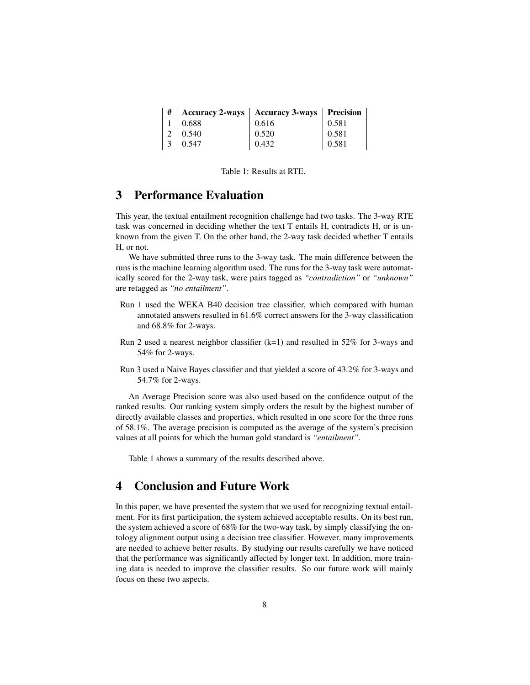| # | <b>Accuracy 2-ways</b> | <b>Accuracy 3-ways</b> | Precision |
|---|------------------------|------------------------|-----------|
|   | 0.688                  | 0.616                  | 0.581     |
|   | $\pm 0.540$            | 0.520                  | 0.581     |
|   | 0.547                  | 0.432                  | 0.581     |

Table 1: Results at RTE.

## 3 Performance Evaluation

This year, the textual entailment recognition challenge had two tasks. The 3-way RTE task was concerned in deciding whether the text T entails H, contradicts H, or is unknown from the given T. On the other hand, the 2-way task decided whether T entails H, or not.

We have submitted three runs to the 3-way task. The main difference between the runs is the machine learning algorithm used. The runs for the 3-way task were automatically scored for the 2-way task, were pairs tagged as *"contradiction"* or *"unknown"* are retagged as *"no entailment"*.

- Run 1 used the WEKA B40 decision tree classifier, which compared with human annotated answers resulted in 61.6% correct answers for the 3-way classification and 68.8% for 2-ways.
- Run 2 used a nearest neighbor classifier  $(k=1)$  and resulted in 52% for 3-ways and 54% for 2-ways.
- Run 3 used a Naive Bayes classifier and that yielded a score of 43.2% for 3-ways and 54.7% for 2-ways.

An Average Precision score was also used based on the confidence output of the ranked results. Our ranking system simply orders the result by the highest number of directly available classes and properties, which resulted in one score for the three runs of 58.1%. The average precision is computed as the average of the system's precision values at all points for which the human gold standard is *"entailment"*.

Table 1 shows a summary of the results described above.

# 4 Conclusion and Future Work

In this paper, we have presented the system that we used for recognizing textual entailment. For its first participation, the system achieved acceptable results. On its best run, the system achieved a score of 68% for the two-way task, by simply classifying the ontology alignment output using a decision tree classifier. However, many improvements are needed to achieve better results. By studying our results carefully we have noticed that the performance was significantly affected by longer text. In addition, more training data is needed to improve the classifier results. So our future work will mainly focus on these two aspects.